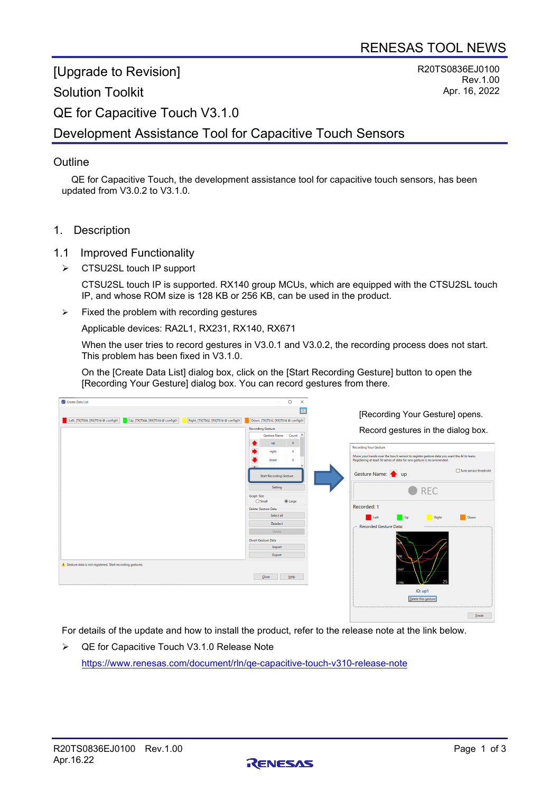[Upgrade to Revision]

#### Solution Toolkit

R20TS0836EJ0100 Rev.1.00 Apr. 16, 2022

QE for Capacitive Touch V3.1.0

# Development Assistance Tool for Capacitive Touch Sensors

#### **Outline**

QE for Capacitive Touch, the development assistance tool for capacitive touch sensors, has been updated from V3.0.2 to V3.1.0.

1. Description

#### 1.1 Improved Functionality

▶ CTSU2SL touch IP support

CTSU2SL touch IP is supported. RX140 group MCUs, which are equipped with the CTSU2SL touch IP, and whose ROM size is 128 KB or 256 KB, can be used in the product.

 $\triangleright$  Fixed the problem with recording gestures

Applicable devices: RA2L1, RX231, RX140, RX671

When the user tries to record gestures in V3.0.1 and V3.0.2, the recording process does not start. This problem has been fixed in V3.1.0.

On the [Create Data List] dialog box, click on the [Start Recording Gesture] button to open the [Recording Your Gesture] dialog box. You can record gestures from there.

| Create Data List                                                                                                 | $\Box$<br>$\times$                                                   |                                                                                                                                                                    |
|------------------------------------------------------------------------------------------------------------------|----------------------------------------------------------------------|--------------------------------------------------------------------------------------------------------------------------------------------------------------------|
| Left, [TX]TS09, [RX]TS18 @ config01<br>Up, [TX]TS08, [RX]TS18 @ config01<br>Right, [TX]TS02, [RX]TS18 @ config01 | 圖<br>Down, [TX]TS10, [RX]TS18 @ config01<br><b>Recording Gesture</b> | [Recording Your Gesture] opens.                                                                                                                                    |
|                                                                                                                  | Gesture Name Count ^                                                 | Record gestures in the dialog box.                                                                                                                                 |
|                                                                                                                  | $\bullet$<br>up<br>right<br>$\bullet$                                | <b>Recording Your Gesture</b>                                                                                                                                      |
|                                                                                                                  | down<br>$\bullet$                                                    | Move your hands over the touch sensor to register gesture data you want the AI to learn.<br>Registering at least 50 series of data for one gesture is recommended. |
|                                                                                                                  | <b>Start Recording Gesture</b>                                       | Tune sensor threshold<br>Gesture Name: <a></a>                                                                                                                     |
|                                                                                                                  | Setting<br>Graph Size                                                | $\bullet$ REC                                                                                                                                                      |
|                                                                                                                  | $\bigcirc$ Small<br>$①$ Large                                        | Recorded: 1                                                                                                                                                        |
|                                                                                                                  | Delete Gesture Data<br>Select all                                    |                                                                                                                                                                    |
|                                                                                                                  | <b>Deselect</b>                                                      | Left<br>$U_p$<br>Right<br>Down<br><b>Recorded Gesture Data:</b>                                                                                                    |
|                                                                                                                  | Delete                                                               |                                                                                                                                                                    |
|                                                                                                                  | Divert Gesture Data                                                  |                                                                                                                                                                    |
|                                                                                                                  | Import                                                               |                                                                                                                                                                    |
|                                                                                                                  | Export                                                               |                                                                                                                                                                    |
| Gesture data is not registered. Start recording gestures.                                                        | Help<br>Close                                                        | 1047                                                                                                                                                               |
|                                                                                                                  |                                                                      | ID: up1<br>Delete this gesture                                                                                                                                     |

For details of the update and how to install the product, refer to the release note at the link below.

▶ QE for Capacitive Touch V3.1.0 Release Note <https://www.renesas.com/document/rln/qe-capacitive-touch-v310-release-note>



 $\begin{tabular}{|c|c|c|} \hline & \multicolumn{3}{|c|}{Einish} & \multicolumn{3}{|c|}{\hline} \\\hline \multicolumn{3}{|c|}{\hline} & \multicolumn{3}{|c|}{Einish} & \multicolumn{3}{|c|}{\hline} \\\hline \multicolumn{3}{|c|}{\hline} & \multicolumn{3}{|c|}{\hline} & \multicolumn{3}{|c|}{\hline} \\\hline \multicolumn{3}{|c|}{\hline} & \multicolumn{3}{|c|}{\hline} & \multicolumn{3}{|c|}{\hline} \\\hline \multicolumn{3}{|c|}{\hline$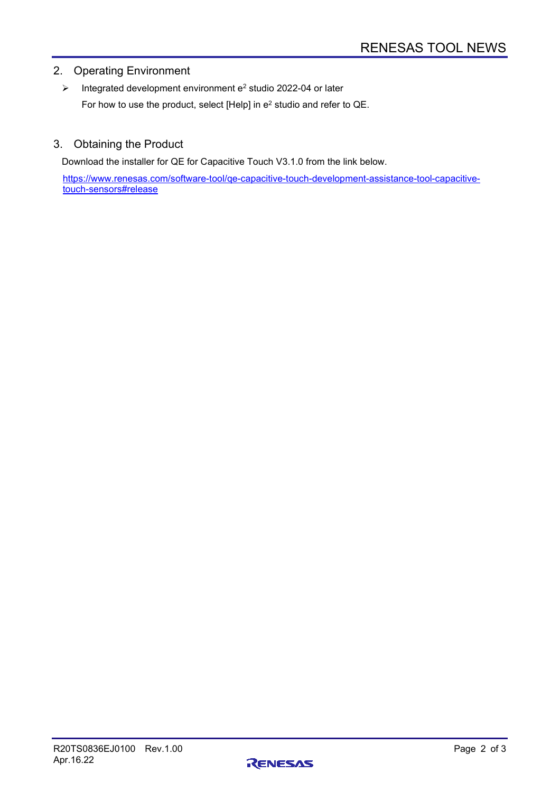## 2. Operating Environment

 $\triangleright$  Integrated development environment e<sup>2</sup> studio 2022-04 or later For how to use the product, select [Help] in e2 studio and refer to QE.

#### 3. Obtaining the Product

Download the installer for QE for Capacitive Touch V3.1.0 from the link below.

[https://www.renesas.com/software-tool/qe-capacitive-touch-development-assistance-tool-capacitive](https://www.renesas.com/software-tool/qe-capacitive-touch-development-assistance-tool-capacitive-touch-sensors#release)[touch-sensors#release](https://www.renesas.com/software-tool/qe-capacitive-touch-development-assistance-tool-capacitive-touch-sensors#release)